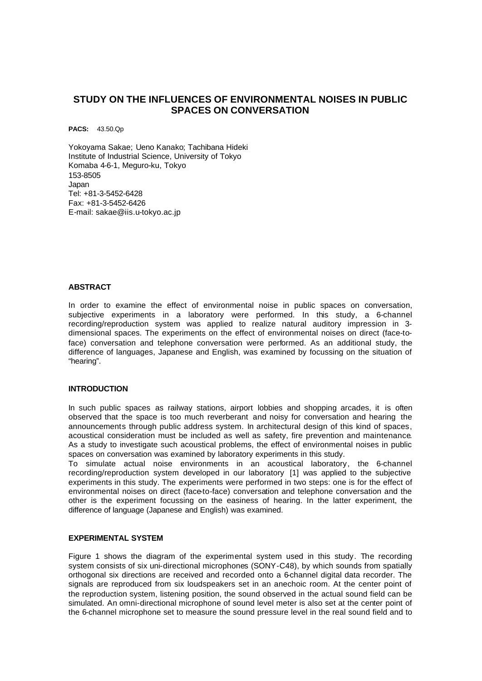# **STUDY ON THE INFLUENCES OF ENVIRONMENTAL NOISES IN PUBLIC SPACES ON CONVERSATION**

**PACS:** 43.50.Qp

Yokoyama Sakae; Ueno Kanako; Tachibana Hideki Institute of Industrial Science, University of Tokyo Komaba 4-6-1, Meguro-ku, Tokyo 153-8505 Japan Tel: +81-3-5452-6428 Fax: +81-3-5452-6426 E-mail: sakae@iis.u-tokyo.ac.jp

### **ABSTRACT**

In order to examine the effect of environmental noise in public spaces on conversation, subjective experiments in a laboratory were performed. In this study, a 6-channel recording/reproduction system was applied to realize natural auditory impression in 3 dimensional spaces. The experiments on the effect of environmental noises on direct (face-toface) conversation and telephone conversation were performed. As an additional study, the difference of languages, Japanese and English, was examined by focussing on the situation of "hearing".

### **INTRODUCTION**

In such public spaces as railway stations, airport lobbies and shopping arcades, it is often observed that the space is too much reverberant and noisy for conversation and hearing the announcements through public address system. In architectural design of this kind of spaces, acoustical consideration must be included as well as safety, fire prevention and maintenance. As a study to investigate such acoustical problems, the effect of environmental noises in public spaces on conversation was examined by laboratory experiments in this study.

To simulate actual noise environments in an acoustical laboratory, the 6-channel recording/reproduction system developed in our laboratory [1] was applied to the subjective experiments in this study. The experiments were performed in two steps: one is for the effect of environmental noises on direct (face-to-face) conversation and telephone conversation and the other is the experiment focussing on the easiness of hearing. In the latter experiment, the difference of language (Japanese and English) was examined.

### **EXPERIMENTAL SYSTEM**

Figure 1 shows the diagram of the experimental system used in this study. The recording system consists of six uni-directional microphones (SONY-C48), by which sounds from spatially orthogonal six directions are received and recorded onto a 6-channel digital data recorder. The signals are reproduced from six loudspeakers set in an anechoic room. At the center point of the reproduction system, listening position, the sound observed in the actual sound field can be simulated. An omni-directional microphone of sound level meter is also set at the center point of the 6-channel microphone set to measure the sound pressure level in the real sound field and to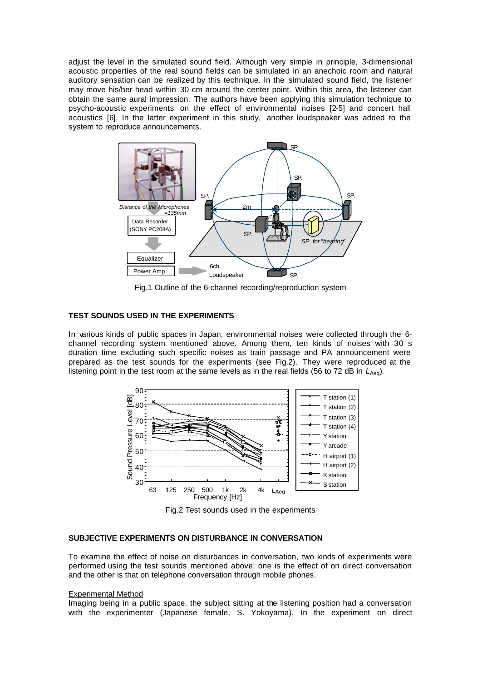adjust the level in the simulated sound field. Although very simple in principle, 3-dimensional acoustic properties of the real sound fields can be simulated in an anechoic room and natural auditory sensation can be realized by this technique. In the simulated sound field, the listener may move his/her head within 30 cm around the center point. Within this area, the listener can obtain the same aural impression. The authors have been applying this simulation technique to psycho-acoustic experiments on the effect of environmental noises [2-5] and concert hall acoustics [6]. In the latter experiment in this study, another loudspeaker was added to the system to reproduce announcements.



Fig.1 Outline of the 6-channel recording/reproduction system

### **TEST SOUNDS USED IN THE EXPERIMENTS**

In various kinds of public spaces in Japan, environmental noises were collected through the 6 channel recording system mentioned above. Among them, ten kinds of noises with 30 s duration time excluding such specific noises as train passage and PA announcement were prepared as the test sounds for the experiments (see Fig.2). They were reproduced at the listening point in the test room at the same levels as in the real fields (56 to 72 dB in L<sub>Aeg</sub>).



Fig.2 Test sounds used in the experiments

### **SUBJECTIVE EXPERIMENTS ON DISTURBANCE IN CONVERSATION**

To examine the effect of noise on disturbances in conversation, two kinds of experiments were performed using the test sounds mentioned above; one is the effect of on direct conversation and the other is that on telephone conversation through mobile phones.

#### Experimental Method

Imaging being in a public space, the subject sitting at the listening position had a conversation with the experimenter (Japanese female, S. Yokoyama). In the experiment on direct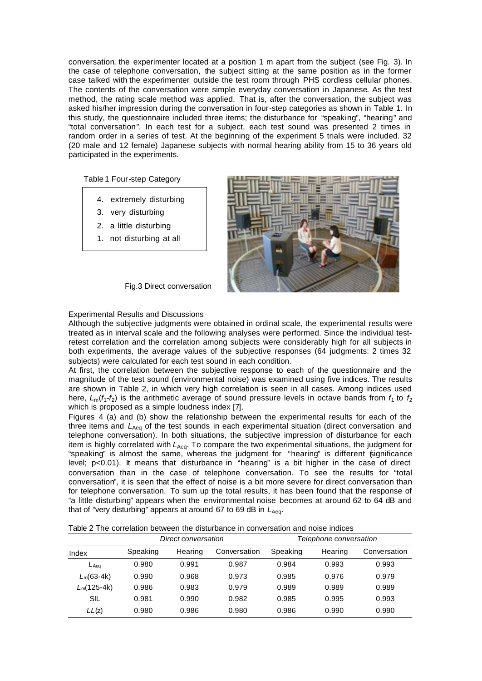conversation, the experimenter located at a position 1 m apart from the subject (see Fig. 3). In the case of telephone conversation, the subject sitting at the same position as in the former case talked with the experimenter outside the test room through PHS cordless cellular phones. The contents of the conversation were simple everyday conversation in Japanese. As the test method, the rating scale method was applied. That is, after the conversation, the subject was asked his/her impression during the conversation in four-step categories as shown in Table 1. In this study, the questionnaire included three items; the disturbance for "speaking", "hearing" and "total conversation". In each test for a subject, each test sound was presented 2 times in random order in a series of test. At the beginning of the experiment 5 trials were included. 32 (20 male and 12 female) Japanese subjects with normal hearing ability from 15 to 36 years old participated in the experiments.

Table 1 Four-step Category

- 4. extremely disturbing
- 3. very disturbing
- 2. a little disturbing
- 1. not disturbing at all



Fig.3 Direct conversation

### Experimental Results and Discussions

Although the subjective judgments were obtained in ordinal scale, the experimental results were treated as in interval scale and the following analyses were performed. Since the individual testretest correlation and the correlation among subjects were considerably high for all subjects in both experiments, the average values of the subjective responses (64 judgments: 2 times 32 subjects) were calculated for each test sound in each condition.

At first, the correlation between the subjective response to each of the questionnaire and the magnitude of the test sound (environmental noise) was examined using five indices. The results are shown in Table 2, in which very high correlation is seen in all cases. Among indices used here,  $L_m(f_1-f_2)$  is the arithmetic average of sound pressure levels in octave bands from  $f_1$  to  $f_2$ which is proposed as a simple loudness index [7].

Figures 4 (a) and (b) show the relationship between the experimental results for each of the three items and L<sub>Aeq</sub> of the test sounds in each experimental situation (direct conversation and telephone conversation). In both situations, the subjective impression of disturbance for each item is highly correlated with *L*<sub>Aeq</sub>. To compare the two experimental situations, the judgment for "speaking" is almost the same, whereas the judgment for "hearing" is different significance level; p<0.01). It means that disturbance in "hearing" is a bit higher in the case of direct conversation than in the case of telephone conversation. To see the results for "total conversation", it is seen that the effect of noise is a bit more severe for direct conversation than for telephone conversation. To sum up the total results, it has been found that the response of "a little disturbing" appears when the environmental noise becomes at around 62 to 64 dB and that of "very disturbing" appears at around 67 to 69 dB in  $L_{Aeg}$ .

| Table 2 The correlation between the disturbance in conversation and noise indices |  |  |  |  |  |
|-----------------------------------------------------------------------------------|--|--|--|--|--|
|-----------------------------------------------------------------------------------|--|--|--|--|--|

|               | Direct conversation |         |              | Telephone conversation |         |              |  |
|---------------|---------------------|---------|--------------|------------------------|---------|--------------|--|
| Index         | Speaking            | Hearing | Conversation | Speaking               | Hearing | Conversation |  |
| $L$ Aea       | 0.980               | 0.991   | 0.987        | 0.984                  | 0.993   | 0.993        |  |
| $L_m(63-4k)$  | 0.990               | 0.968   | 0.973        | 0.985                  | 0.976   | 0.979        |  |
| $L_m(125-4k)$ | 0.986               | 0.983   | 0.979        | 0.989                  | 0.989   | 0.989        |  |
| SIL           | 0.981               | 0.990   | 0.982        | 0.985                  | 0.995   | 0.993        |  |
| LL(z)         | 0.980               | 0.986   | 0.980        | 0.986                  | 0.990   | 0.990        |  |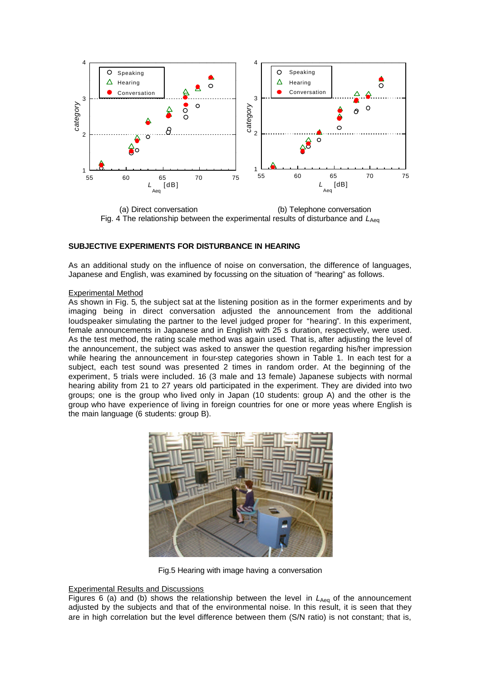

(a) Direct conversation (b) Telephone conversation Fig. 4 The relationship between the experimental results of disturbance and  $L_{A_{\text{eq}}}$ 

### **SUBJECTIVE EXPERIMENTS FOR DISTURBANCE IN HEARING**

As an additional study on the influence of noise on conversation, the difference of languages, Japanese and English, was examined by focussing on the situation of "hearing" as follows.

#### Experimental Method

As shown in Fig. 5, the subject sat at the listening position as in the former experiments and by imaging being in direct conversation adjusted the announcement from the additional loudspeaker simulating the partner to the level judged proper for "hearing". In this experiment, female announcements in Japanese and in English with 25 s duration, respectively, were used. As the test method, the rating scale method was again used. That is, after adjusting the level of the announcement, the subject was asked to answer the question regarding his/her impression while hearing the announcement in four-step categories shown in Table 1. In each test for a subject, each test sound was presented 2 times in random order. At the beginning of the experiment, 5 trials were included. 16 (3 male and 13 female) Japanese subjects with normal hearing ability from 21 to 27 years old participated in the experiment. They are divided into two groups; one is the group who lived only in Japan (10 students: group A) and the other is the group who have experience of living in foreign countries for one or more yeas where English is the main language (6 students: group B).



Fig.5 Hearing with image having a conversation

## Experimental Results and Discussions

Figures 6 (a) and (b) shows the relationship between the level in  $L_{Aea}$  of the announcement adjusted by the subjects and that of the environmental noise. In this result, it is seen that they are in high correlation but the level difference between them (S/N ratio) is not constant; that is,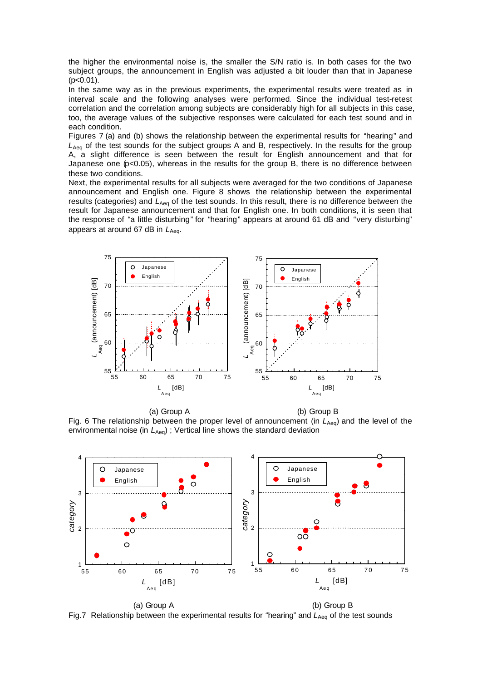the higher the environmental noise is, the smaller the S/N ratio is. In both cases for the two subject groups, the announcement in English was adjusted a bit louder than that in Japanese  $(p<0.01)$ .

In the same way as in the previous experiments, the experimental results were treated as in interval scale and the following analyses were performed. Since the individual test-retest correlation and the correlation among subjects are considerably high for all subjects in this case, too, the average values of the subjective responses were calculated for each test sound and in each condition.

Figures 7 (a) and (b) shows the relationship between the experimental results for "hearing" and L<sub>Aeq</sub> of the test sounds for the subject groups A and B, respectively. In the results for the group A, a slight difference is seen between the result for English announcement and that for Japanese one (p<0.05), whereas in the results for the group B, there is no difference between these two conditions.

Next, the experimental results for all subjects were averaged for the two conditions of Japanese announcement and English one. Figure 8 shows the relationship between the experimental results (categories) and  $L_{Aeq}$  of the test sounds. In this result, there is no difference between the result for Japanese announcement and that for English one. In both conditions, it is seen that the response of "a little disturbing" for "hearing" appears at around 61 dB and "very disturbing" appears at around 67 dB in L<sub>Aeq</sub>.



(a) Group A (b) Group B Fig. 6 The relationship between the proper level of announcement (in L<sub>Aeq</sub>) and the level of the environmental noise (in *L*<sub>Aeg</sub>); Vertical line shows the standard deviation



Fig.7 Relationship between the experimental results for "hearing" and L<sub>Aeq</sub> of the test sounds